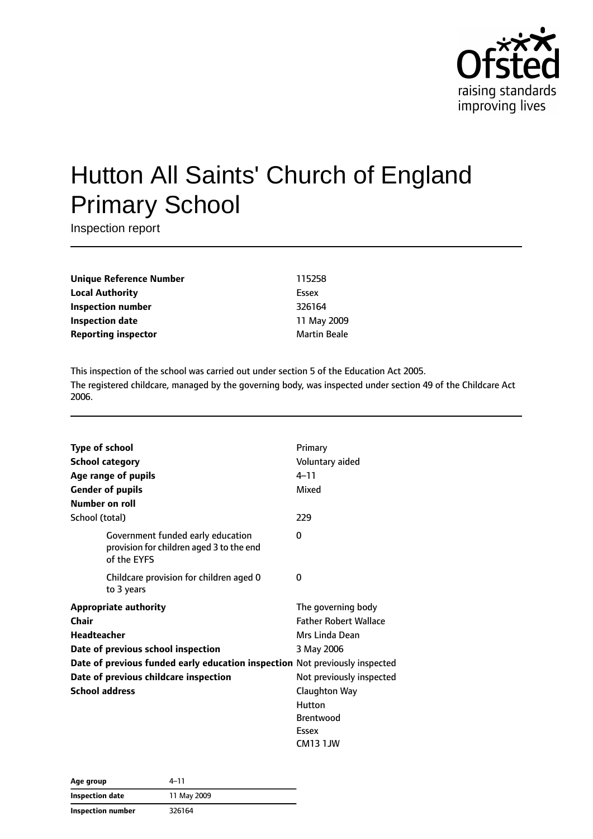

# Hutton All Saints' Church of England Primary School

Inspection report

**Unique Reference Number** 115258 **Local Authority** Essex **Inspection number** 326164 **Inspection date** 11 May 2009 **Reporting inspector** Martin Beale

This inspection of the school was carried out under section 5 of the Education Act 2005. The registered childcare, managed by the governing body, was inspected under section 49 of the Childcare Act 2006.

|       | <b>Type of school</b>                                                                        | Primary                      |
|-------|----------------------------------------------------------------------------------------------|------------------------------|
|       | <b>School category</b>                                                                       | Voluntary aided              |
|       | Age range of pupils                                                                          | $4 - 11$                     |
|       | <b>Gender of pupils</b>                                                                      | Mixed                        |
|       | Number on roll                                                                               |                              |
|       | School (total)                                                                               | 229                          |
|       | Government funded early education<br>provision for children aged 3 to the end<br>of the EYFS | 0                            |
|       | Childcare provision for children aged 0<br>to 3 years                                        | 0                            |
|       | <b>Appropriate authority</b>                                                                 | The governing body           |
| Chair |                                                                                              | <b>Father Robert Wallace</b> |
|       | <b>Headteacher</b>                                                                           | Mrs Linda Dean               |
|       | Date of previous school inspection                                                           | 3 May 2006                   |
|       | Date of previous funded early education inspection Not previously inspected                  |                              |
|       | Date of previous childcare inspection                                                        | Not previously inspected     |
|       | <b>School address</b>                                                                        | <b>Claughton Way</b>         |
|       |                                                                                              | Hutton                       |
|       |                                                                                              | <b>Brentwood</b>             |
|       |                                                                                              | Essex                        |
|       |                                                                                              | CM13 1JW                     |

| Age group         | 4-11        |  |
|-------------------|-------------|--|
| Inspection date   | 11 May 2009 |  |
| Inspection number | 326164      |  |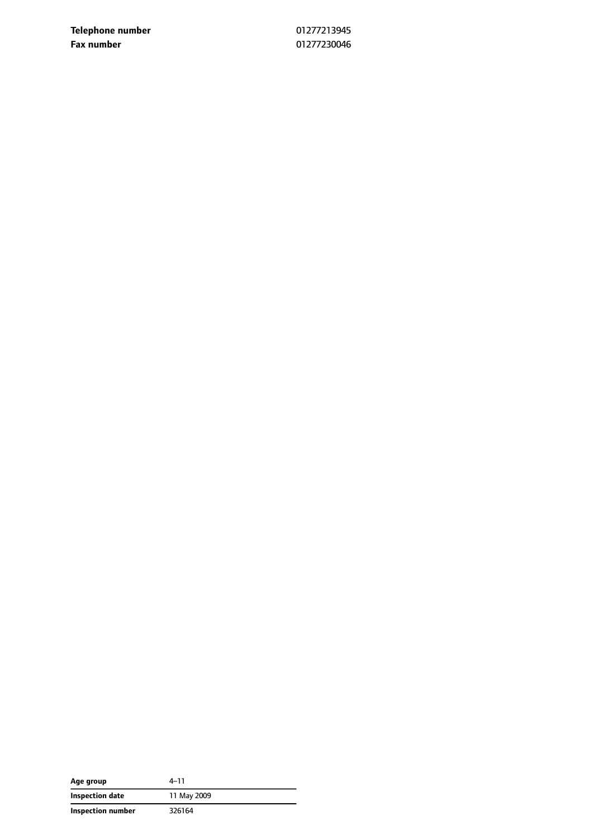**Telephone number** 01277213945 **Fax number** 01277230046

| Age group         | 4–11        |
|-------------------|-------------|
| Inspection date   | 11 May 2009 |
| Inspection number | 326164      |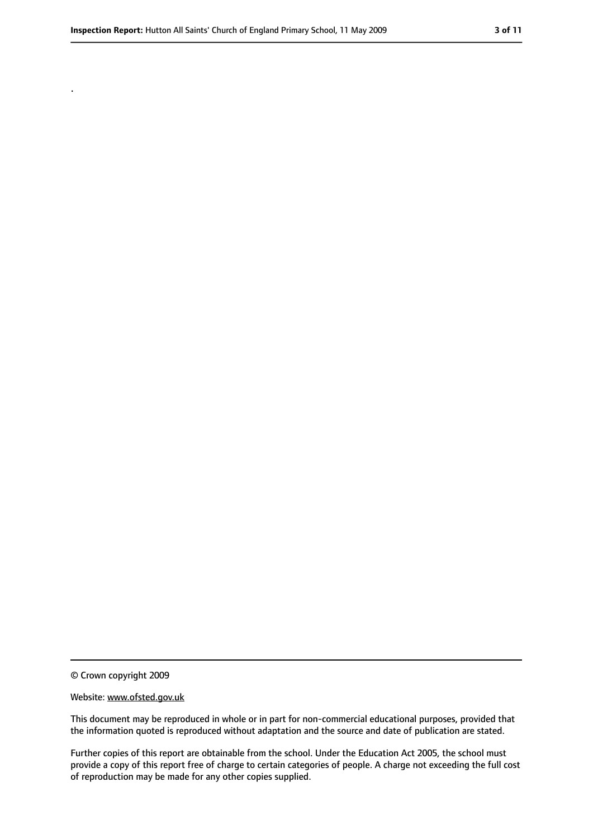.

<sup>©</sup> Crown copyright 2009

Website: www.ofsted.gov.uk

This document may be reproduced in whole or in part for non-commercial educational purposes, provided that the information quoted is reproduced without adaptation and the source and date of publication are stated.

Further copies of this report are obtainable from the school. Under the Education Act 2005, the school must provide a copy of this report free of charge to certain categories of people. A charge not exceeding the full cost of reproduction may be made for any other copies supplied.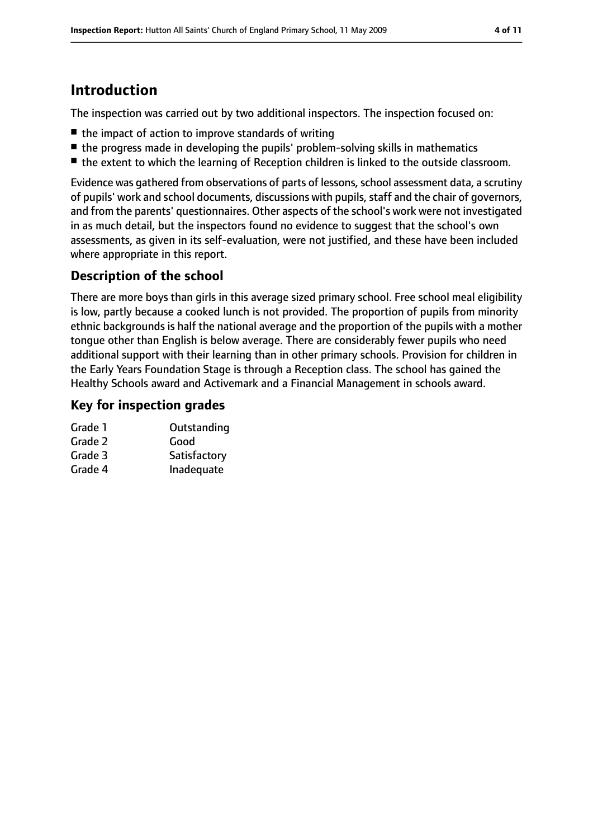# **Introduction**

The inspection was carried out by two additional inspectors. The inspection focused on:

- the impact of action to improve standards of writing
- the progress made in developing the pupils' problem-solving skills in mathematics
- the extent to which the learning of Reception children is linked to the outside classroom.

Evidence was gathered from observations of parts of lessons, school assessment data, a scrutiny of pupils' work and school documents, discussions with pupils, staff and the chair of governors, and from the parents' questionnaires. Other aspects of the school's work were not investigated in as much detail, but the inspectors found no evidence to suggest that the school's own assessments, as given in its self-evaluation, were not justified, and these have been included where appropriate in this report.

#### **Description of the school**

There are more boys than girls in this average sized primary school. Free school meal eligibility is low, partly because a cooked lunch is not provided. The proportion of pupils from minority ethnic backgrounds is half the national average and the proportion of the pupils with a mother tongue other than English is below average. There are considerably fewer pupils who need additional support with their learning than in other primary schools. Provision for children in the Early Years Foundation Stage is through a Reception class. The school has gained the Healthy Schools award and Activemark and a Financial Management in schools award.

#### **Key for inspection grades**

| Grade 1 | Outstanding  |
|---------|--------------|
| Grade 2 | Good         |
| Grade 3 | Satisfactory |
| Grade 4 | Inadequate   |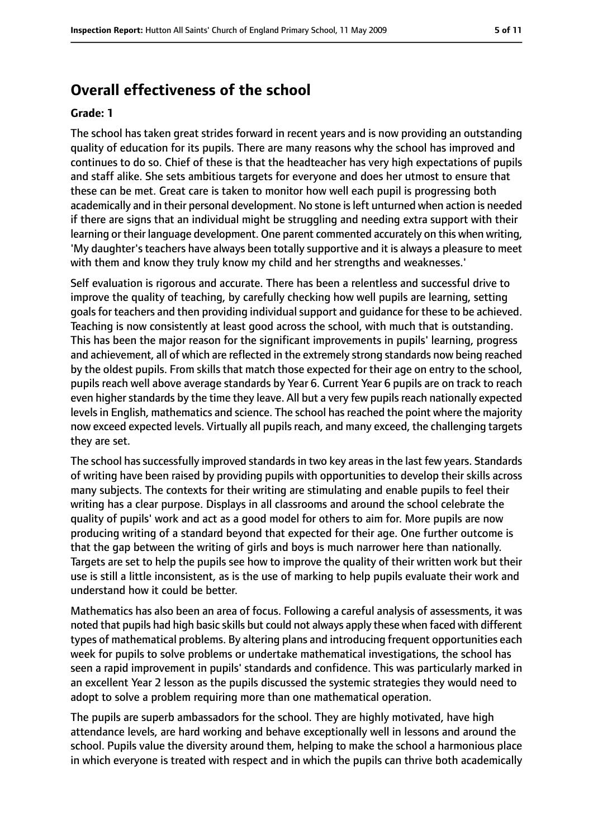## **Overall effectiveness of the school**

#### **Grade: 1**

The school has taken great strides forward in recent years and is now providing an outstanding quality of education for its pupils. There are many reasons why the school has improved and continues to do so. Chief of these is that the headteacher has very high expectations of pupils and staff alike. She sets ambitious targets for everyone and does her utmost to ensure that these can be met. Great care is taken to monitor how well each pupil is progressing both academically and in their personal development. No stone is left unturned when action is needed if there are signs that an individual might be struggling and needing extra support with their learning or their language development. One parent commented accurately on this when writing, 'My daughter's teachers have always been totally supportive and it is always a pleasure to meet with them and know they truly know my child and her strengths and weaknesses.'

Self evaluation is rigorous and accurate. There has been a relentless and successful drive to improve the quality of teaching, by carefully checking how well pupils are learning, setting goals for teachers and then providing individual support and quidance for these to be achieved. Teaching is now consistently at least good across the school, with much that is outstanding. This has been the major reason for the significant improvements in pupils' learning, progress and achievement, all of which are reflected in the extremely strong standards now being reached by the oldest pupils. From skills that match those expected for their age on entry to the school, pupils reach well above average standards by Year 6. Current Year 6 pupils are on track to reach even higher standards by the time they leave. All but a very few pupils reach nationally expected levels in English, mathematics and science. The school has reached the point where the majority now exceed expected levels. Virtually all pupils reach, and many exceed, the challenging targets they are set.

The school has successfully improved standards in two key areas in the last few years. Standards of writing have been raised by providing pupils with opportunities to develop their skills across many subjects. The contexts for their writing are stimulating and enable pupils to feel their writing has a clear purpose. Displays in all classrooms and around the school celebrate the quality of pupils' work and act as a good model for others to aim for. More pupils are now producing writing of a standard beyond that expected for their age. One further outcome is that the gap between the writing of girls and boys is much narrower here than nationally. Targets are set to help the pupils see how to improve the quality of their written work but their use is still a little inconsistent, as is the use of marking to help pupils evaluate their work and understand how it could be better.

Mathematics has also been an area of focus. Following a careful analysis of assessments, it was noted that pupils had high basic skills but could not always apply these when faced with different types of mathematical problems. By altering plans and introducing frequent opportunities each week for pupils to solve problems or undertake mathematical investigations, the school has seen a rapid improvement in pupils' standards and confidence. This was particularly marked in an excellent Year 2 lesson as the pupils discussed the systemic strategies they would need to adopt to solve a problem requiring more than one mathematical operation.

The pupils are superb ambassadors for the school. They are highly motivated, have high attendance levels, are hard working and behave exceptionally well in lessons and around the school. Pupils value the diversity around them, helping to make the school a harmonious place in which everyone is treated with respect and in which the pupils can thrive both academically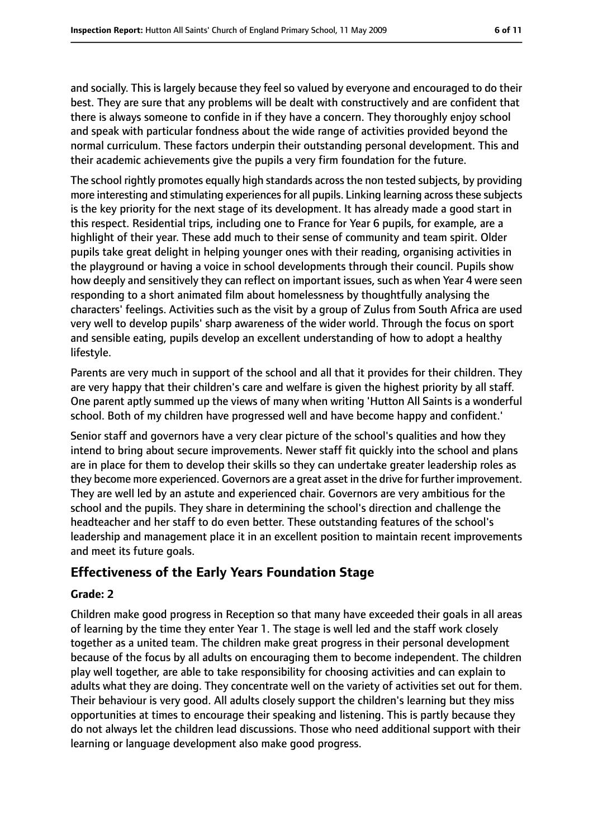and socially. This is largely because they feel so valued by everyone and encouraged to do their best. They are sure that any problems will be dealt with constructively and are confident that there is always someone to confide in if they have a concern. They thoroughly enjoy school and speak with particular fondness about the wide range of activities provided beyond the normal curriculum. These factors underpin their outstanding personal development. This and their academic achievements give the pupils a very firm foundation for the future.

The school rightly promotes equally high standards across the non tested subjects, by providing more interesting and stimulating experiences for all pupils. Linking learning across these subjects is the key priority for the next stage of its development. It has already made a good start in this respect. Residential trips, including one to France for Year 6 pupils, for example, are a highlight of their year. These add much to their sense of community and team spirit. Older pupils take great delight in helping younger ones with their reading, organising activities in the playground or having a voice in school developments through their council. Pupils show how deeply and sensitively they can reflect on important issues, such as when Year 4 were seen responding to a short animated film about homelessness by thoughtfully analysing the characters' feelings. Activities such as the visit by a group of Zulus from South Africa are used very well to develop pupils' sharp awareness of the wider world. Through the focus on sport and sensible eating, pupils develop an excellent understanding of how to adopt a healthy lifestyle.

Parents are very much in support of the school and all that it provides for their children. They are very happy that their children's care and welfare is given the highest priority by all staff. One parent aptly summed up the views of many when writing 'Hutton All Saints is a wonderful school. Both of my children have progressed well and have become happy and confident.'

Senior staff and governors have a very clear picture of the school's qualities and how they intend to bring about secure improvements. Newer staff fit quickly into the school and plans are in place for them to develop their skills so they can undertake greater leadership roles as they become more experienced. Governors are a great asset in the drive for further improvement. They are well led by an astute and experienced chair. Governors are very ambitious for the school and the pupils. They share in determining the school's direction and challenge the headteacher and her staff to do even better. These outstanding features of the school's leadership and management place it in an excellent position to maintain recent improvements and meet its future goals.

#### **Effectiveness of the Early Years Foundation Stage**

#### **Grade: 2**

Children make good progress in Reception so that many have exceeded their goals in all areas of learning by the time they enter Year 1. The stage is well led and the staff work closely together as a united team. The children make great progress in their personal development because of the focus by all adults on encouraging them to become independent. The children play well together, are able to take responsibility for choosing activities and can explain to adults what they are doing. They concentrate well on the variety of activities set out for them. Their behaviour is very good. All adults closely support the children's learning but they miss opportunities at times to encourage their speaking and listening. This is partly because they do not always let the children lead discussions. Those who need additional support with their learning or language development also make good progress.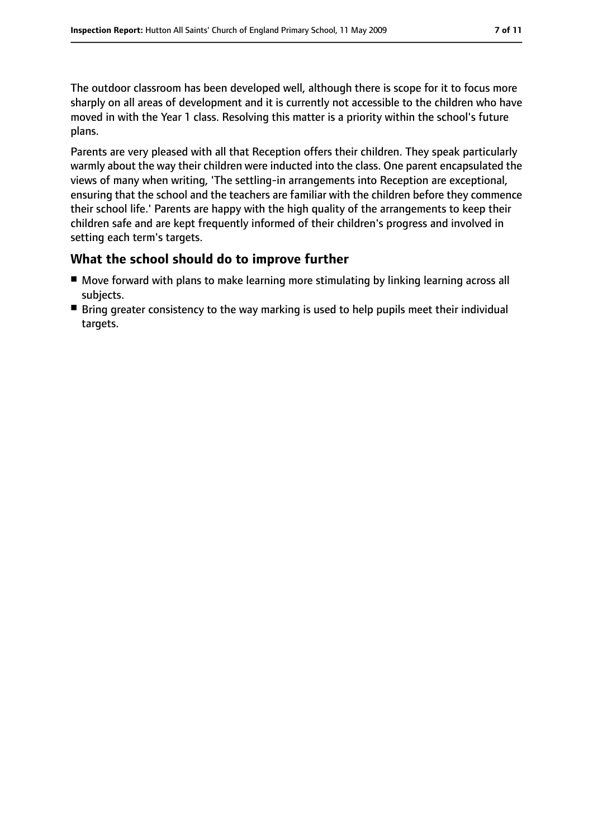The outdoor classroom has been developed well, although there is scope for it to focus more sharply on all areas of development and it is currently not accessible to the children who have moved in with the Year 1 class. Resolving this matter is a priority within the school's future plans.

Parents are very pleased with all that Reception offers their children. They speak particularly warmly about the way their children were inducted into the class. One parent encapsulated the views of many when writing, 'The settling-in arrangements into Reception are exceptional, ensuring that the school and the teachers are familiar with the children before they commence their school life.' Parents are happy with the high quality of the arrangements to keep their children safe and are kept frequently informed of their children's progress and involved in setting each term's targets.

#### **What the school should do to improve further**

- Move forward with plans to make learning more stimulating by linking learning across all subjects.
- Bring greater consistency to the way marking is used to help pupils meet their individual targets.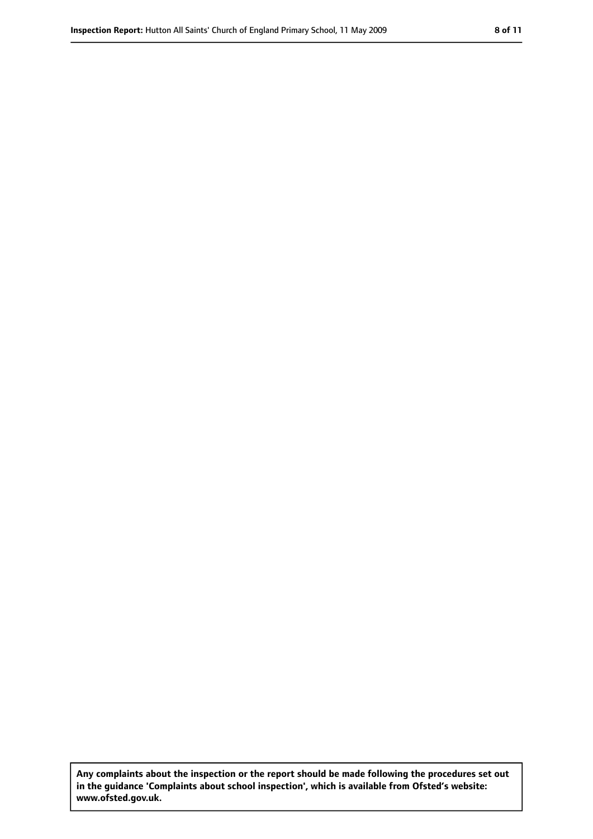**Any complaints about the inspection or the report should be made following the procedures set out in the guidance 'Complaints about school inspection', which is available from Ofsted's website: www.ofsted.gov.uk.**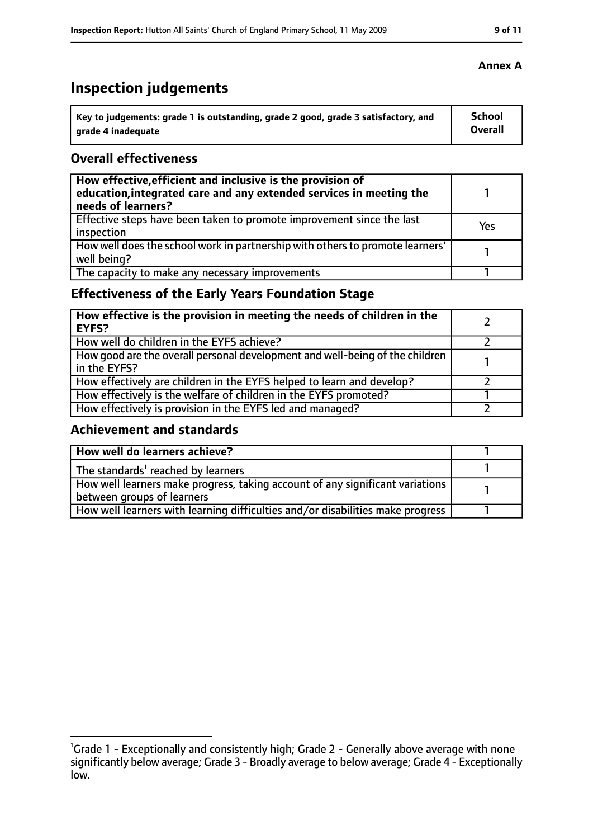# **Inspection judgements**

| \ Key to judgements: grade 1 is outstanding, grade 2 good, grade 3 satisfactory, and | <b>School</b>  |
|--------------------------------------------------------------------------------------|----------------|
| arade 4 inadequate                                                                   | <b>Overall</b> |

#### **Overall effectiveness**

| How effective, efficient and inclusive is the provision of<br>education, integrated care and any extended services in meeting the<br>needs of learners? |     |
|---------------------------------------------------------------------------------------------------------------------------------------------------------|-----|
| Effective steps have been taken to promote improvement since the last<br>inspection                                                                     | Yes |
| How well does the school work in partnership with others to promote learners'<br>well being?                                                            |     |
| The capacity to make any necessary improvements                                                                                                         |     |

## **Effectiveness of the Early Years Foundation Stage**

| How effective is the provision in meeting the needs of children in the<br><b>EYFS?</b>       |  |
|----------------------------------------------------------------------------------------------|--|
| How well do children in the EYFS achieve?                                                    |  |
| How good are the overall personal development and well-being of the children<br>in the EYFS? |  |
| How effectively are children in the EYFS helped to learn and develop?                        |  |
| How effectively is the welfare of children in the EYFS promoted?                             |  |
| How effectively is provision in the EYFS led and managed?                                    |  |

#### **Achievement and standards**

| How well do learners achieve?                                                               |  |
|---------------------------------------------------------------------------------------------|--|
| $\vert$ The standards <sup>1</sup> reached by learners                                      |  |
| $\mid$ How well learners make progress, taking account of any significant variations $\mid$ |  |
| between groups of learners                                                                  |  |
| How well learners with learning difficulties and/or disabilities make progress              |  |

#### **Annex A**

<sup>&</sup>lt;sup>1</sup>Grade 1 - Exceptionally and consistently high; Grade 2 - Generally above average with none significantly below average; Grade 3 - Broadly average to below average; Grade 4 - Exceptionally low.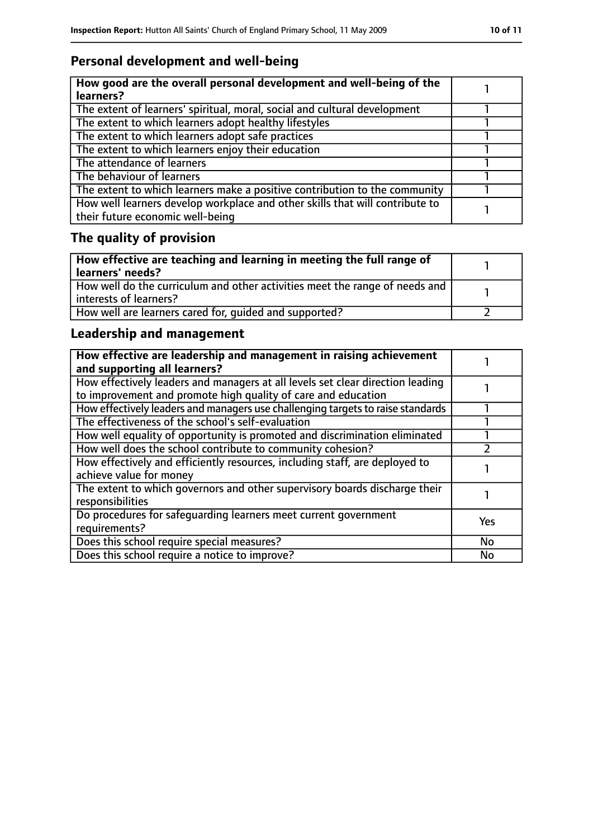## **Personal development and well-being**

| How good are the overall personal development and well-being of the<br>learners?                                 |  |
|------------------------------------------------------------------------------------------------------------------|--|
| The extent of learners' spiritual, moral, social and cultural development                                        |  |
| The extent to which learners adopt healthy lifestyles                                                            |  |
| The extent to which learners adopt safe practices                                                                |  |
| The extent to which learners enjoy their education                                                               |  |
| The attendance of learners                                                                                       |  |
| The behaviour of learners                                                                                        |  |
| The extent to which learners make a positive contribution to the community                                       |  |
| How well learners develop workplace and other skills that will contribute to<br>their future economic well-being |  |

# **The quality of provision**

| How effective are teaching and learning in meeting the full range of<br>learners' needs?                |  |
|---------------------------------------------------------------------------------------------------------|--|
| How well do the curriculum and other activities meet the range of needs and<br>  interests of learners? |  |
| How well are learners cared for, quided and supported?                                                  |  |

## **Leadership and management**

| How effective are leadership and management in raising achievement<br>and supporting all learners?                                              |           |
|-------------------------------------------------------------------------------------------------------------------------------------------------|-----------|
| How effectively leaders and managers at all levels set clear direction leading<br>to improvement and promote high quality of care and education |           |
| How effectively leaders and managers use challenging targets to raise standards                                                                 |           |
| The effectiveness of the school's self-evaluation                                                                                               |           |
| How well equality of opportunity is promoted and discrimination eliminated                                                                      |           |
| How well does the school contribute to community cohesion?                                                                                      |           |
| How effectively and efficiently resources, including staff, are deployed to<br>achieve value for money                                          |           |
| The extent to which governors and other supervisory boards discharge their<br>responsibilities                                                  |           |
| Do procedures for safequarding learners meet current government<br>requirements?                                                                | Yes       |
| Does this school require special measures?                                                                                                      | <b>No</b> |
| Does this school require a notice to improve?                                                                                                   | <b>No</b> |